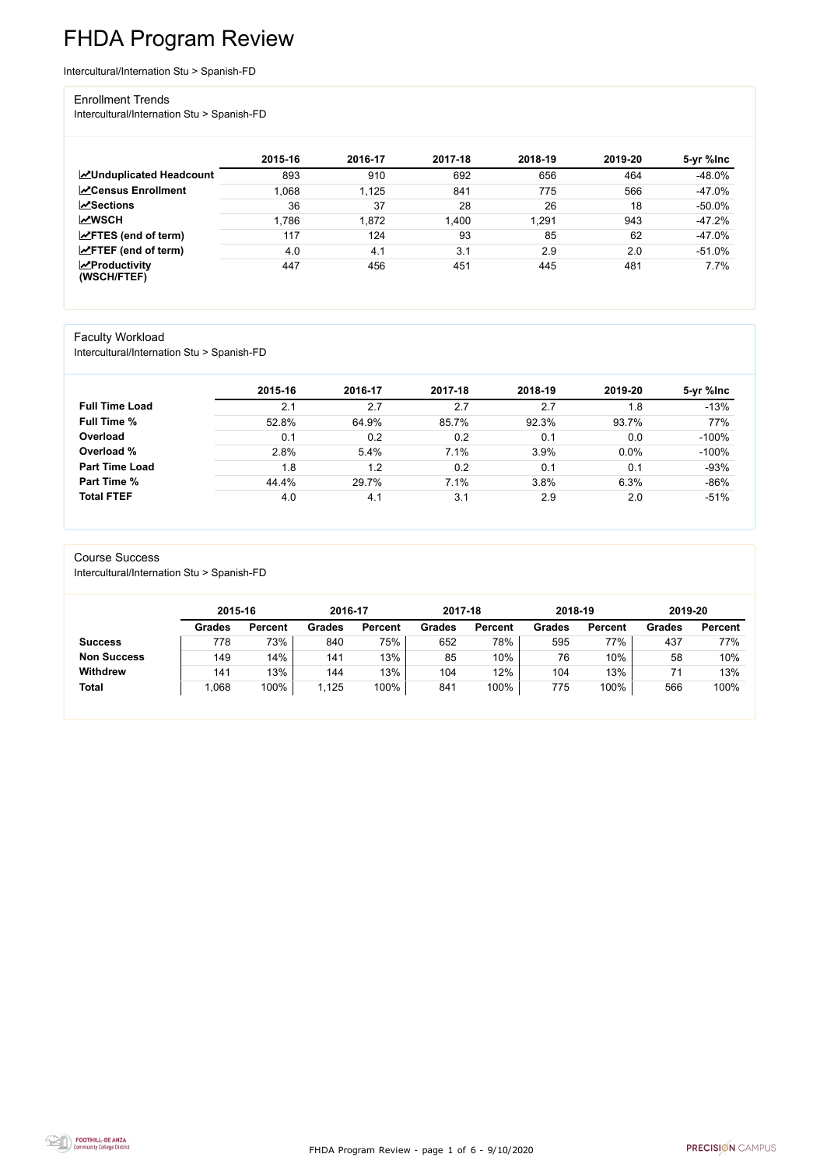FHDA Program Review - page 1 of 6 - 9/10/2020



# FHDA Program Review

Intercultural/Internation Stu > Spanish-FD

#### Enrollment Trends

Intercultural/Internation Stu > Spanish-FD

|                                                  | 2015-16 | 2016-17 | 2017-18 | 2018-19 | 2019-20 | 5-yr %lnc |
|--------------------------------------------------|---------|---------|---------|---------|---------|-----------|
| <b>ZUnduplicated Headcount</b>                   | 893     | 910     | 692     | 656     | 464     | $-48.0\%$ |
| <b>ZCensus Enrollment</b>                        | 1,068   | 1,125   | 841     | 775     | 566     | $-47.0\%$ |
| <b>ZSections</b>                                 | 36      | 37      | 28      | 26      | 18      | $-50.0\%$ |
| <b>MWSCH</b>                                     | 1,786   | 1,872   | 1,400   | 1,291   | 943     | $-47.2%$  |
| $\angle$ FTES (end of term)                      | 117     | 124     | 93      | 85      | 62      | $-47.0\%$ |
| $\angle$ FTEF (end of term)                      | 4.0     | 4.1     | 3.1     | 2.9     | 2.0     | $-51.0%$  |
| $\sqrt{\frac{1}{2}}$ Productivity<br>(WSCH/FTEF) | 447     | 456     | 451     | 445     | 481     | 7.7%      |

#### Faculty Workload

Intercultural/Internation Stu > Spanish-FD

|                       | 2015-16 | 2016-17 | 2017-18 | 2018-19 | 2019-20 | 5-yr %lnc |
|-----------------------|---------|---------|---------|---------|---------|-----------|
| <b>Full Time Load</b> | 2.1     | 2.7     | 2.7     | 2.7     | 1.8     | $-13%$    |
| <b>Full Time %</b>    | 52.8%   | 64.9%   | 85.7%   | 92.3%   | 93.7%   | 77%       |
| Overload              | 0.1     | 0.2     | 0.2     | 0.1     | 0.0     | $-100%$   |
| Overload %            | 2.8%    | 5.4%    | 7.1%    | 3.9%    | 0.0%    | $-100%$   |
| <b>Part Time Load</b> | 1.8     | 1.2     | 0.2     | 0.1     | 0.1     | $-93%$    |
| <b>Part Time %</b>    | 44.4%   | 29.7%   | 7.1%    | 3.8%    | 6.3%    | $-86%$    |
| <b>Total FTEF</b>     | 4.0     | 4.1     | 3.1     | 2.9     | 2.0     | $-51%$    |

#### Course Success

Intercultural/Internation Stu > Spanish-FD

|                    |               | 2015-16        |               | 2016-17        | 2017-18       |                | 2018-19       |                | 2019-20       |                |
|--------------------|---------------|----------------|---------------|----------------|---------------|----------------|---------------|----------------|---------------|----------------|
|                    | <b>Grades</b> | <b>Percent</b> | <b>Grades</b> | <b>Percent</b> | <b>Grades</b> | <b>Percent</b> | <b>Grades</b> | <b>Percent</b> | <b>Grades</b> | <b>Percent</b> |
| <b>Success</b>     | 778           | 73%            | 840           | 75%            | 652           | 78%            | 595           | 77%            | 437           | 77%            |
| <b>Non Success</b> | 149           | 14%            | 141           | 13%            | 85            | 10%            | 76            | 10%            | 58            | 10%            |
| <b>Withdrew</b>    | 141           | 13%            | 144           | 13%            | 104           | 12%            | 104           | 13%            |               | 13%            |
| <b>Total</b>       | ,068          | 100%           | ,125          | 100%           | 841           | 100%           | 775           | 100%           | 566           | 100%           |

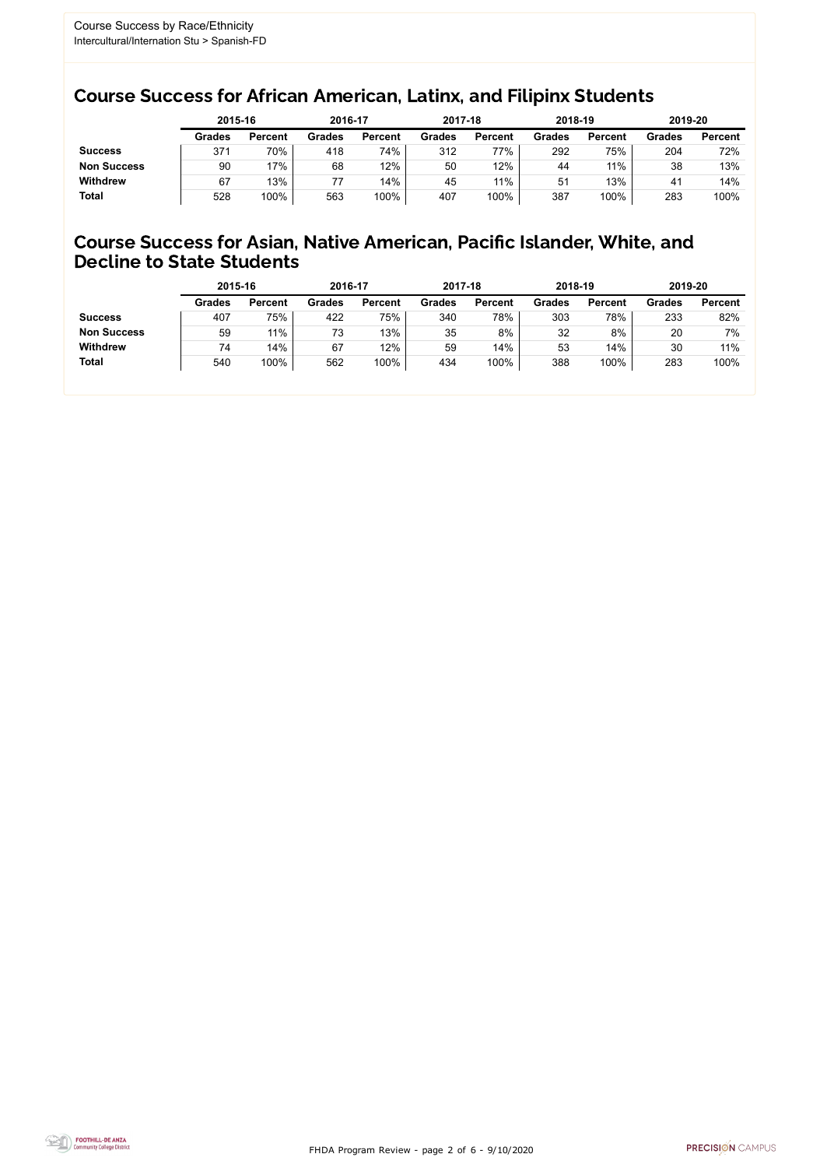FHDA Program Review - page 2 of 6 - 9/10/2020



### Course Success for African American, Latinx, and Filipinx Students

### Course Success for Asian, Native American, Pacific Islander, White, and Decline to State Students

|                    |               | 2015-16        |               | 2016-17        | 2017-18       |                | 2018-19       |                | 2019-20 |                |
|--------------------|---------------|----------------|---------------|----------------|---------------|----------------|---------------|----------------|---------|----------------|
|                    | <b>Grades</b> | <b>Percent</b> | <b>Grades</b> | <b>Percent</b> | <b>Grades</b> | <b>Percent</b> | <b>Grades</b> | <b>Percent</b> | Grades  | <b>Percent</b> |
| <b>Success</b>     | 371           | 70%            | 418           | 74%            | 312           | 77%            | 292           | 75%            | 204     | 72%            |
| <b>Non Success</b> | 90            | 17%            | 68            | $12\%$         | 50            | 12%            | 44            | 11%            | 38      | 13%            |
| <b>Withdrew</b>    | 67            | 13%            | 77            | 14%            | 45            | 11%            | 51            | 13%            | 41      | 14%            |
| <b>Total</b>       | 528           | 100%           | 563           | 100%           | 407           | 100%           | 387           | 100%           | 283     | 100%           |

|                    | 2015-16       |                | 2016-17       |                | 2017-18       |                | 2018-19       |                | 2019-20       |                |
|--------------------|---------------|----------------|---------------|----------------|---------------|----------------|---------------|----------------|---------------|----------------|
|                    | <b>Grades</b> | <b>Percent</b> | <b>Grades</b> | <b>Percent</b> | <b>Grades</b> | <b>Percent</b> | <b>Grades</b> | <b>Percent</b> | <b>Grades</b> | <b>Percent</b> |
| <b>Success</b>     | 407           | 75%            | 422           | 75%            | 340           | 78%            | 303           | 78%            | 233           | 82%            |
| <b>Non Success</b> | 59            | 11%            | 73            | 13%            | 35            | 8%             | 32            | 8%             | 20            | 7%             |
| <b>Withdrew</b>    | 74            | 14%            | 67            | 12%            | 59            | 14%            | 53            | 14%            | 30            | 11%            |
| <b>Total</b>       | 540           | 100%           | 562           | 100%           | 434           | 100%           | 388           | 100%           | 283           | 100%           |
|                    |               |                |               |                |               |                |               |                |               |                |

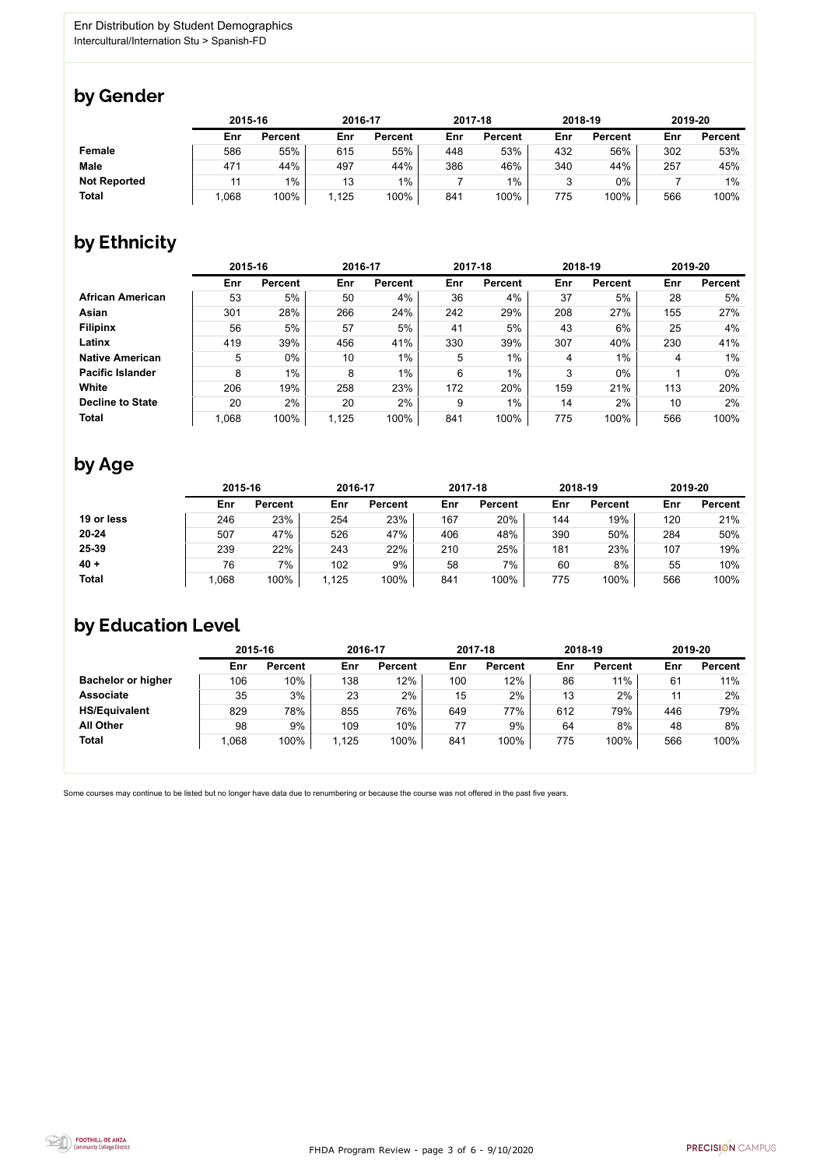

Some courses may continue to be listed but no longer have data due to renumbering or because the course was not offered in the past five years.



### by Gender

|                     | 2015-16 |                |      | 2016-17        |     | 2017-18        | 2018-19 |                | 2019-20 |                |
|---------------------|---------|----------------|------|----------------|-----|----------------|---------|----------------|---------|----------------|
|                     | Enr     | <b>Percent</b> | Enr  | <b>Percent</b> | Enr | <b>Percent</b> | Enr     | <b>Percent</b> | Enr     | <b>Percent</b> |
| <b>Female</b>       | 586     | 55%            | 615  | 55%            | 448 | 53%            | 432     | 56%            | 302     | 53%            |
| <b>Male</b>         | 471     | 44%            | 497  | 44%            | 386 | 46%            | 340     | 44%            | 257     | 45%            |
| <b>Not Reported</b> |         | 1%             | 13   | $1\%$          |     | 1%             |         | 0%             |         | $1\%$          |
| <b>Total</b>        | 1,068   | 100%           | ,125 | 100%           | 841 | 100%           | 775     | 100%           | 566     | 100%           |

### by Ethnicity

|                         |       | 2015-16        |       | 2016-17        |     | 2017-18        |     | 2018-19        | 2019-20 |                |
|-------------------------|-------|----------------|-------|----------------|-----|----------------|-----|----------------|---------|----------------|
|                         | Enr   | <b>Percent</b> | Enr   | <b>Percent</b> | Enr | <b>Percent</b> | Enr | <b>Percent</b> | Enr     | <b>Percent</b> |
| <b>African American</b> | 53    | 5%             | 50    | 4%             | 36  | 4%             | 37  | 5%             | 28      | 5%             |
| <b>Asian</b>            | 301   | 28%            | 266   | 24%            | 242 | 29%            | 208 | 27%            | 155     | 27%            |
| <b>Filipinx</b>         | 56    | 5%             | 57    | 5%             | 41  | 5%             | 43  | 6%             | 25      | 4%             |
| Latinx                  | 419   | 39%            | 456   | 41%            | 330 | 39%            | 307 | 40%            | 230     | 41%            |
| <b>Native American</b>  | 5     | 0%             | 10    | $1\%$          | 5   | 1%             | 4   | 1%             | 4       | $1\%$          |
| <b>Pacific Islander</b> | 8     | $1\%$          | 8     | $1\%$          | 6   | $1\%$          | 3   | $0\%$          |         | $0\%$          |
| White                   | 206   | 19%            | 258   | 23%            | 172 | 20%            | 159 | 21%            | 113     | 20%            |
| <b>Decline to State</b> | 20    | 2%             | 20    | 2%             | 9   | 1%             | 14  | 2%             | 10      | 2%             |
| <b>Total</b>            | 1,068 | 100%           | 1,125 | 100%           | 841 | 100%           | 775 | 100%           | 566     | 100%           |

### by Age

|              | 2015-16 |                |       | 2016-17        |     | 2017-18        | 2018-19 |                | 2019-20 |                |
|--------------|---------|----------------|-------|----------------|-----|----------------|---------|----------------|---------|----------------|
|              | Enr     | <b>Percent</b> | Enr   | <b>Percent</b> | Enr | <b>Percent</b> | Enr     | <b>Percent</b> | Enr     | <b>Percent</b> |
| 19 or less   | 246     | 23%            | 254   | 23%            | 167 | 20%            | 144     | 19%            | 120     | 21%            |
| $20 - 24$    | 507     | 47%            | 526   | 47%            | 406 | 48%            | 390     | 50%            | 284     | 50%            |
| 25-39        | 239     | 22%            | 243   | 22%            | 210 | 25%            | 181     | 23%            | 107     | 19%            |
| $40 +$       | 76      | 7%             | 102   | 9%             | 58  | 7%             | 60      | 8%             | 55      | 10%            |
| <b>Total</b> | 1,068   | 100%           | 1,125 | 100%           | 841 | 100%           | 775     | 100%           | 566     | 100%           |

## by Education Level

|                           | 2015-16 |                |       | 2016-17        |     | 2017-18        | 2018-19 |                | 2019-20 |                |
|---------------------------|---------|----------------|-------|----------------|-----|----------------|---------|----------------|---------|----------------|
|                           | Enr     | <b>Percent</b> | Enr   | <b>Percent</b> | Enr | <b>Percent</b> | Enr     | <b>Percent</b> | Enr     | <b>Percent</b> |
| <b>Bachelor or higher</b> | 106     | 10%            | 138   | 12%            | 100 | 12%            | 86      | 11%            | 61      | 11%            |
| <b>Associate</b>          | 35      | 3%             | 23    | 2%             | 15  | 2%             | 13      | 2%             | 11      | 2%             |
| <b>HS/Equivalent</b>      | 829     | 78%            | 855   | 76%            | 649 | 77%            | 612     | 79%            | 446     | 79%            |
| <b>All Other</b>          | 98      | 9%             | 109   | 10%            |     | 9%             | 64      | 8%             | 48      | 8%             |
| <b>Total</b>              | .068    | 100%           | 1,125 | 100%           | 841 | 100%           | 775     | 100%           | 566     | 100%           |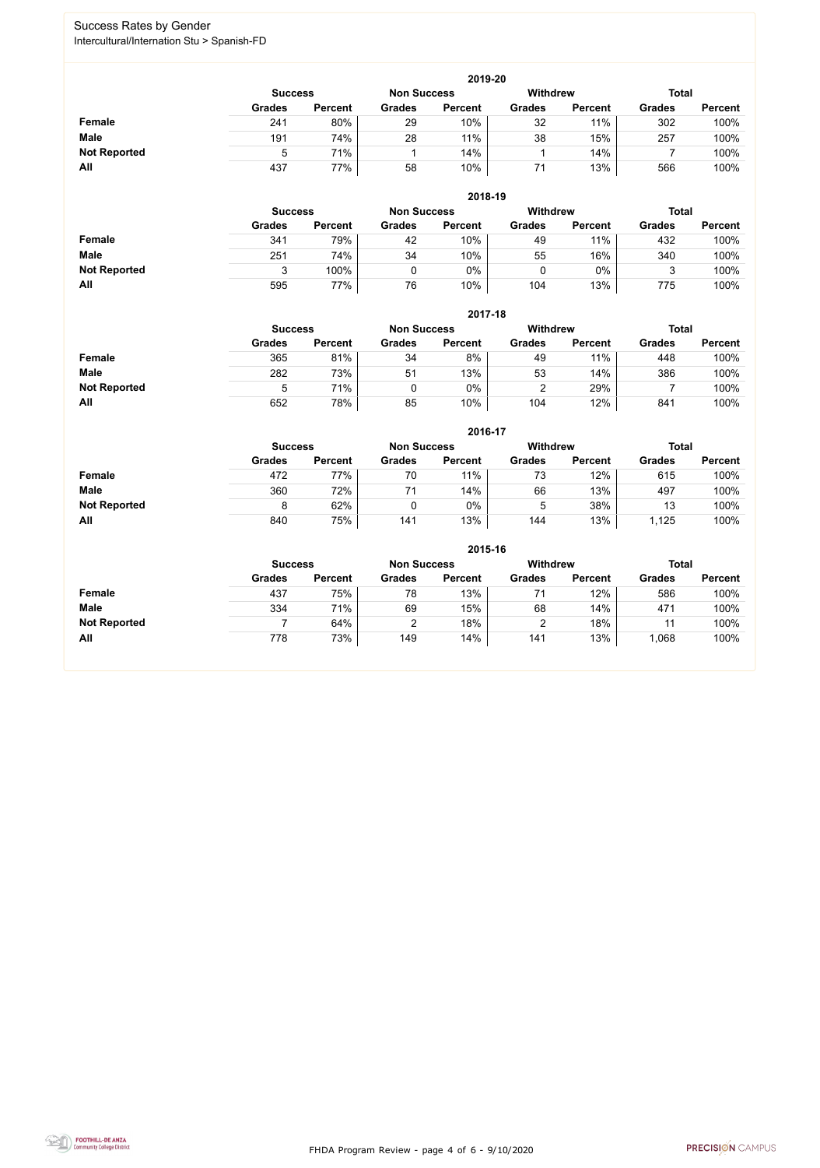FHDA Program Review - page 4 of 6 - 9/10/2020



### Success Rates by Gender Intercultural/Internation Stu > Spanish-FD

|                     | 2019-20        |                |               |                                 |               |                |               |                |  |  |  |  |
|---------------------|----------------|----------------|---------------|---------------------------------|---------------|----------------|---------------|----------------|--|--|--|--|
|                     | <b>Success</b> |                |               | <b>Total</b><br><b>Withdrew</b> |               |                |               |                |  |  |  |  |
|                     | <b>Grades</b>  | <b>Percent</b> | <b>Grades</b> | <b>Percent</b>                  | <b>Grades</b> | <b>Percent</b> | <b>Grades</b> | <b>Percent</b> |  |  |  |  |
| <b>Female</b>       | 241            | 80%            | 29            | 10%                             | 32            | 11%            | 302           | 100%           |  |  |  |  |
| <b>Male</b>         | 191            | 74%            | 28            | 11%                             | 38            | 15%            | 257           | 100%           |  |  |  |  |
| <b>Not Reported</b> |                | 71%            |               | 14%                             |               | 14%            |               | 100%           |  |  |  |  |
| All                 | 437            | 77%            | 58            | 10%                             |               | 13%            | 566           | 100%           |  |  |  |  |

|                     |               | 2018-19                              |               |                |               |                 |               |                |  |  |  |  |  |
|---------------------|---------------|--------------------------------------|---------------|----------------|---------------|-----------------|---------------|----------------|--|--|--|--|--|
|                     |               | <b>Non Success</b><br><b>Success</b> |               |                |               | <b>Withdrew</b> | <b>Total</b>  |                |  |  |  |  |  |
|                     | <b>Grades</b> | <b>Percent</b>                       | <b>Grades</b> | <b>Percent</b> | <b>Grades</b> | <b>Percent</b>  | <b>Grades</b> | <b>Percent</b> |  |  |  |  |  |
| <b>Female</b>       | 341           | 79%                                  | 42            | 10%            | 49            | 11%             | 432           | 100%           |  |  |  |  |  |
| <b>Male</b>         | 251           | 74%                                  | 34            | 10%            | 55            | 16%             | 340           | 100%           |  |  |  |  |  |
| <b>Not Reported</b> | ર             | 100%                                 |               | $0\%$          |               | 0%              |               | 100%           |  |  |  |  |  |
| All                 | 595           | 77%                                  | 76            | 10%            | 104           | 13%             | 775           | 100%           |  |  |  |  |  |

|                     |                | 2017-18        |                    |                |                 |                |               |                |  |  |  |  |  |
|---------------------|----------------|----------------|--------------------|----------------|-----------------|----------------|---------------|----------------|--|--|--|--|--|
|                     | <b>Success</b> |                | <b>Non Success</b> |                | <b>Withdrew</b> |                |               | <b>Total</b>   |  |  |  |  |  |
|                     | <b>Grades</b>  | <b>Percent</b> | <b>Grades</b>      | <b>Percent</b> | <b>Grades</b>   | <b>Percent</b> | <b>Grades</b> | <b>Percent</b> |  |  |  |  |  |
| Female              | 365            | 81%            | 34                 | 8%             | 49              | 11%            | 448           | 100%           |  |  |  |  |  |
| <b>Male</b>         | 282            | 73%            | 51                 | 13%            | 53              | 14%            | 386           | 100%           |  |  |  |  |  |
| <b>Not Reported</b> | ხ              | 71%            |                    | $0\%$          |                 | 29%            |               | 100%           |  |  |  |  |  |
| <b>All</b>          | 652            | 78%            | 85                 | 10%            | 104             | 12%            | 841           | 100%           |  |  |  |  |  |

|                     |               | 2016-17        |               |                |                 |                |               |                |  |  |
|---------------------|---------------|----------------|---------------|----------------|-----------------|----------------|---------------|----------------|--|--|
|                     |               | <b>Success</b> |               |                | <b>Withdrew</b> |                | <b>Total</b>  |                |  |  |
|                     | <b>Grades</b> | <b>Percent</b> | <b>Grades</b> | <b>Percent</b> | <b>Grades</b>   | <b>Percent</b> | <b>Grades</b> | <b>Percent</b> |  |  |
| Female              | 472           | 77%            | 70            | 11%            | 73              | 12%            | 615           | 100%           |  |  |
| <b>Male</b>         | 360           | 72%            | 71            | 14%            | 66              | 13%            | 497           | 100%           |  |  |
| <b>Not Reported</b> | 8             | 62%            |               | 0%             | b.              | 38%            | 13            | 100%           |  |  |
| All                 | 840           | 75%            | 141           | 13%            | 144             | 13%            | 1,125         | 100%           |  |  |

|                     | 2015-16        |                |                    |                |                 |                |               |                |  |
|---------------------|----------------|----------------|--------------------|----------------|-----------------|----------------|---------------|----------------|--|
|                     | <b>Success</b> |                | <b>Non Success</b> |                | <b>Withdrew</b> |                | <b>Total</b>  |                |  |
|                     | <b>Grades</b>  | <b>Percent</b> | <b>Grades</b>      | <b>Percent</b> | <b>Grades</b>   | <b>Percent</b> | <b>Grades</b> | <b>Percent</b> |  |
| <b>Female</b>       | 437            | 75%            | 78                 | 13%            | 71              | 12%            | 586           | 100%           |  |
| <b>Male</b>         | 334            | 71%            | 69                 | 15%            | 68              | 14%            | 471           | 100%           |  |
| <b>Not Reported</b> |                | 64%            | າ                  | 18%            | າ<br>∠          | 18%            |               | 100%           |  |
| All                 | 778            | 73%            | 149                | 14%            | 141             | 13%            | ,068          | 100%           |  |

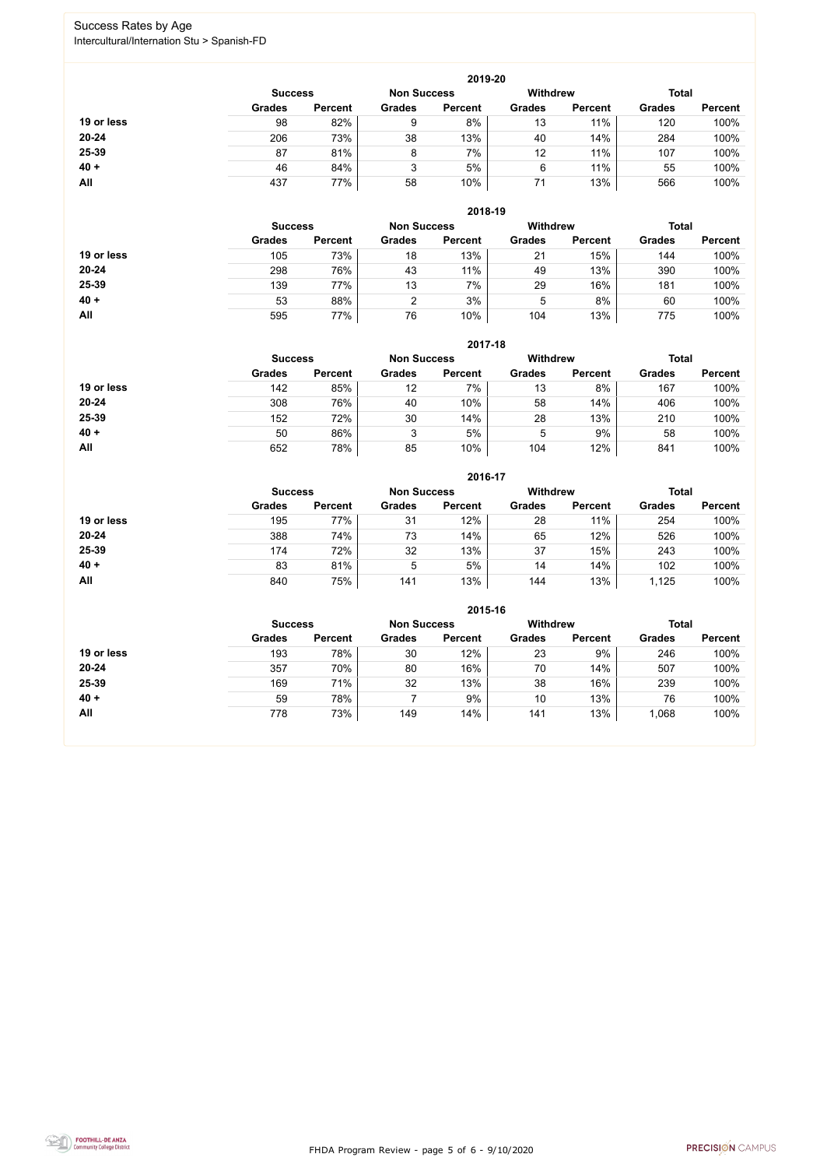FHDA Program Review - page 5 of 6 - 9/10/2020



### Success Rates by Age Intercultural/Internation Stu > Spanish-FD

|            | 2019-20        |                |                    |                |                 |                |               |                |  |
|------------|----------------|----------------|--------------------|----------------|-----------------|----------------|---------------|----------------|--|
|            | <b>Success</b> |                | <b>Non Success</b> |                | <b>Withdrew</b> |                | <b>Total</b>  |                |  |
|            | <b>Grades</b>  | <b>Percent</b> | <b>Grades</b>      | <b>Percent</b> | <b>Grades</b>   | <b>Percent</b> | <b>Grades</b> | <b>Percent</b> |  |
| 19 or less | 98             | 82%            | 9                  | 8%             | 13              | 11%            | 120           | 100%           |  |
| 20-24      | 206            | 73%            | 38                 | 13%            | 40              | 14%            | 284           | 100%           |  |
| 25-39      | 87             | 81%            | 8                  | 7%             | 12              | 11%            | 107           | 100%           |  |
| $40 +$     | 46             | 84%            | 3                  | 5%             | 6               | 11%            | 55            | 100%           |  |
| All        | 437            | 77%            | 58                 | 10%            | 71              | 13%            | 566           | 100%           |  |

|            | 2018-19        |                    |               |                 |               |                |               |                |  |
|------------|----------------|--------------------|---------------|-----------------|---------------|----------------|---------------|----------------|--|
|            | <b>Success</b> | <b>Non Success</b> |               | <b>Withdrew</b> |               | <b>Total</b>   |               |                |  |
|            | <b>Grades</b>  | <b>Percent</b>     | <b>Grades</b> | <b>Percent</b>  | <b>Grades</b> | <b>Percent</b> | <b>Grades</b> | <b>Percent</b> |  |
| 19 or less | 105            | 73%                | 18            | 13%             | 21            | 15%            | 144           | 100%           |  |
| $20 - 24$  | 298            | 76%                | 43            | 11%             | 49            | 13%            | 390           | 100%           |  |
| 25-39      | 139            | 77%                | 13            | 7%              | 29            | 16%            | 181           | 100%           |  |
| $40 +$     | 53             | 88%                | 2             | 3%              | 5             | 8%             | 60            | 100%           |  |
| All        | 595            | 77%                | 76            | 10%             | 104           | 13%            | 775           | 100%           |  |

|            | 2017-18        |                |               |                    |                 |                |               |                |  |
|------------|----------------|----------------|---------------|--------------------|-----------------|----------------|---------------|----------------|--|
|            | <b>Success</b> |                |               | <b>Non Success</b> | <b>Withdrew</b> |                | <b>Total</b>  |                |  |
|            | <b>Grades</b>  | <b>Percent</b> | <b>Grades</b> | <b>Percent</b>     | <b>Grades</b>   | <b>Percent</b> | <b>Grades</b> | <b>Percent</b> |  |
| 19 or less | 142            | 85%            | 12            | 7%                 | 13              | 8%             | 167           | 100%           |  |
| $20 - 24$  | 308            | 76%            | 40            | 10%                | 58              | 14%            | 406           | 100%           |  |
| 25-39      | 152            | 72%            | 30            | 14%                | 28              | 13%            | 210           | 100%           |  |
| $40 +$     | 50             | 86%            | 3             | 5%                 | 5               | 9%             | 58            | 100%           |  |
| All        | 652            | 78%            | 85            | 10%                | 104             | 12%            | 841           | 100%           |  |

|            | 2016-17        |                    |               |                |                                 |                |               |                |  |
|------------|----------------|--------------------|---------------|----------------|---------------------------------|----------------|---------------|----------------|--|
|            | <b>Success</b> | <b>Non Success</b> |               |                | <b>Withdrew</b><br><b>Total</b> |                |               |                |  |
|            | <b>Grades</b>  | <b>Percent</b>     | <b>Grades</b> | <b>Percent</b> | <b>Grades</b>                   | <b>Percent</b> | <b>Grades</b> | <b>Percent</b> |  |
| 19 or less | 195            | 77%                | 31            | 12%            | 28                              | 11%            | 254           | 100%           |  |
| $20 - 24$  | 388            | 74%                | 73            | 14%            | 65                              | 12%            | 526           | 100%           |  |
| 25-39      | 174            | 72%                | 32            | 13%            | 37                              | 15%            | 243           | 100%           |  |
| $40 +$     | 83             | 81%                | 5             | 5%             | 14                              | 14%            | 102           | 100%           |  |
| All        | 840            | 75%                | 141           | 13%            | 144                             | 13%            | 1,125         | 100%           |  |

|            | 2015-16        |                |               |                    |                 |                |               |                |  |
|------------|----------------|----------------|---------------|--------------------|-----------------|----------------|---------------|----------------|--|
|            | <b>Success</b> |                |               | <b>Non Success</b> | <b>Withdrew</b> |                | <b>Total</b>  |                |  |
|            | <b>Grades</b>  | <b>Percent</b> | <b>Grades</b> | <b>Percent</b>     | <b>Grades</b>   | <b>Percent</b> | <b>Grades</b> | <b>Percent</b> |  |
| 19 or less | 193            | 78%            | 30            | 12%                | 23              | 9%             | 246           | 100%           |  |
| $20 - 24$  | 357            | 70%            | 80            | 16%                | 70              | 14%            | 507           | 100%           |  |
| 25-39      | 169            | 71%            | 32            | 13%                | 38              | 16%            | 239           | 100%           |  |
| $40 +$     | 59             | 78%            |               | 9%                 | 10              | 13%            | 76            | 100%           |  |
| All        | 778            | 73%            | 149           | 14%                | 141             | 13%            | 1,068         | 100%           |  |